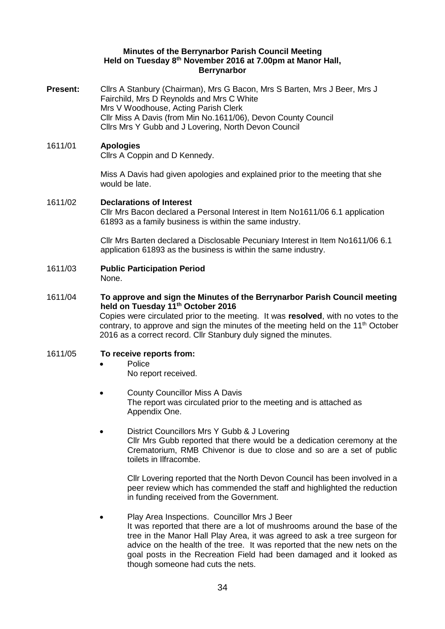#### **Minutes of the Berrynarbor Parish Council Meeting Held on Tuesday 8 th November 2016 at 7.00pm at Manor Hall, Berrynarbor**

**Present:** Cllrs A Stanbury (Chairman), Mrs G Bacon, Mrs S Barten, Mrs J Beer, Mrs J Fairchild, Mrs D Reynolds and Mrs C White Mrs V Woodhouse, Acting Parish Clerk Cllr Miss A Davis (from Min No.1611/06), Devon County Council Cllrs Mrs Y Gubb and J Lovering, North Devon Council

# 1611/01 **Apologies**

Cllrs A Coppin and D Kennedy.

Miss A Davis had given apologies and explained prior to the meeting that she would be late.

# 1611/02 **Declarations of Interest**

Cllr Mrs Bacon declared a Personal Interest in Item No1611/06 6.1 application 61893 as a family business is within the same industry.

Cllr Mrs Barten declared a Disclosable Pecuniary Interest in Item No1611/06 6.1 application 61893 as the business is within the same industry.

1611/03 **Public Participation Period**  None.

#### 1611/04 **To approve and sign the Minutes of the Berrynarbor Parish Council meeting held on Tuesday 11th October 2016**

Copies were circulated prior to the meeting. It was **resolved**, with no votes to the contrary, to approve and sign the minutes of the meeting held on the  $11<sup>th</sup>$  October 2016 as a correct record. Cllr Stanbury duly signed the minutes.

# 1611/05 **To receive reports from:**

- Police
	- No report received.
- County Councillor Miss A Davis The report was circulated prior to the meeting and is attached as Appendix One.
- District Councillors Mrs Y Gubb & J Lovering Cllr Mrs Gubb reported that there would be a dedication ceremony at the Crematorium, RMB Chivenor is due to close and so are a set of public toilets in Ilfracombe.

Cllr Lovering reported that the North Devon Council has been involved in a peer review which has commended the staff and highlighted the reduction in funding received from the Government.

# • Play Area Inspections. Councillor Mrs J Beer

It was reported that there are a lot of mushrooms around the base of the tree in the Manor Hall Play Area, it was agreed to ask a tree surgeon for advice on the health of the tree. It was reported that the new nets on the goal posts in the Recreation Field had been damaged and it looked as though someone had cuts the nets.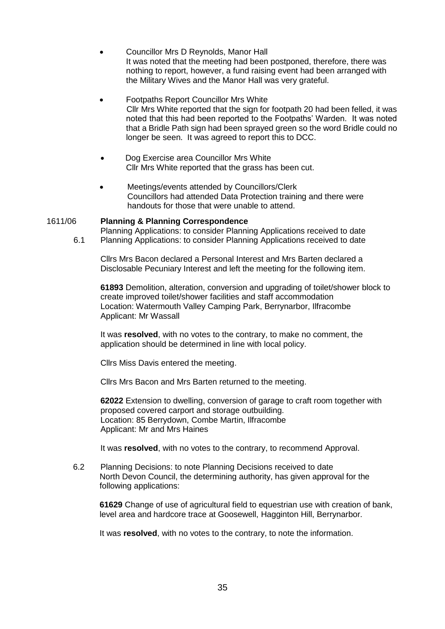- Councillor Mrs D Reynolds, Manor Hall It was noted that the meeting had been postponed, therefore, there was nothing to report, however, a fund raising event had been arranged with the Military Wives and the Manor Hall was very grateful.
- Footpaths Report Councillor Mrs White Cllr Mrs White reported that the sign for footpath 20 had been felled, it was noted that this had been reported to the Footpaths' Warden. It was noted that a Bridle Path sign had been sprayed green so the word Bridle could no longer be seen. It was agreed to report this to DCC.
- Dog Exercise area Councillor Mrs White Cllr Mrs White reported that the grass has been cut.
- Meetings/events attended by Councillors/Clerk Councillors had attended Data Protection training and there were handouts for those that were unable to attend.

#### 1611/06 **Planning & Planning Correspondence**

Planning Applications: to consider Planning Applications received to date 6.1 Planning Applications: to consider Planning Applications received to date

Cllrs Mrs Bacon declared a Personal Interest and Mrs Barten declared a Disclosable Pecuniary Interest and left the meeting for the following item.

**61893** Demolition, alteration, conversion and upgrading of toilet/shower block to create improved toilet/shower facilities and staff accommodation Location: Watermouth Valley Camping Park, Berrynarbor, Ilfracombe Applicant: Mr Wassall

It was **resolved**, with no votes to the contrary, to make no comment, the application should be determined in line with local policy.

Cllrs Miss Davis entered the meeting.

Cllrs Mrs Bacon and Mrs Barten returned to the meeting.

**62022** Extension to dwelling, conversion of garage to craft room together with proposed covered carport and storage outbuilding. Location: 85 Berrydown, Combe Martin, Ilfracombe Applicant: Mr and Mrs Haines

It was **resolved**, with no votes to the contrary, to recommend Approval.

6.2 Planning Decisions: to note Planning Decisions received to date North Devon Council, the determining authority, has given approval for the following applications:

**61629** Change of use of agricultural field to equestrian use with creation of bank, level area and hardcore trace at Goosewell, Hagginton Hill, Berrynarbor.

It was **resolved**, with no votes to the contrary, to note the information.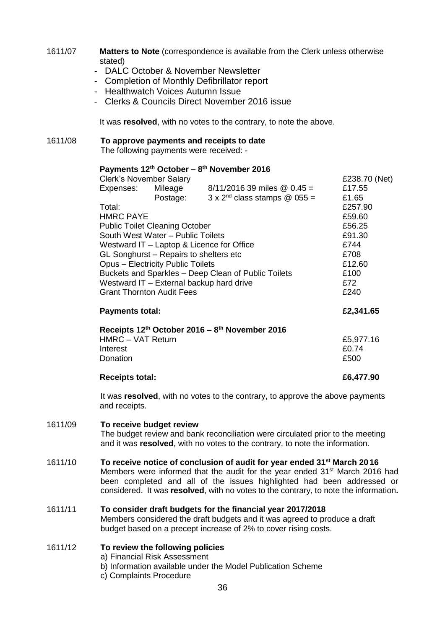### 1611/07 **Matters to Note** (correspondence is available from the Clerk unless otherwise stated)

- DALC October & November Newsletter
- Completion of Monthly Defibrillator report
- Healthwatch Voices Autumn Issue
- Clerks & Councils Direct November 2016 issue

It was **resolved**, with no votes to the contrary, to note the above.

# 1611/08 **To approve payments and receipts to date**

The following payments were received: -

### **Payments 12th October – 8 th November 2016**

| <b>Clerk's November Salary</b>                                         |          |                                               | £238.70 (Net) |
|------------------------------------------------------------------------|----------|-----------------------------------------------|---------------|
| Expenses:                                                              | Mileage  | $8/11/2016$ 39 miles $\textcircled{0}$ 0.45 = | £17.55        |
|                                                                        | Postage: | $3 \times 2^{nd}$ class stamps @ 055 =        | £1.65         |
| Total:                                                                 |          |                                               | £257.90       |
| <b>HMRC PAYE</b>                                                       |          |                                               | £59.60        |
| <b>Public Toilet Cleaning October</b>                                  |          |                                               | £56.25        |
| South West Water - Public Toilets                                      |          |                                               | £91.30        |
| Westward IT – Laptop & Licence for Office                              |          |                                               | £744          |
| GL Songhurst – Repairs to shelters etc                                 |          |                                               | £708          |
| <b>Opus - Electricity Public Toilets</b>                               |          |                                               | £12.60        |
| Buckets and Sparkles - Deep Clean of Public Toilets                    |          |                                               | £100          |
| Westward IT - External backup hard drive                               |          |                                               | £72           |
| <b>Grant Thornton Audit Fees</b>                                       |          |                                               | £240          |
| <b>Payments total:</b>                                                 |          |                                               | £2,341.65     |
| Receipts 12 <sup>th</sup> October 2016 - 8 <sup>th</sup> November 2016 |          |                                               |               |
| <b>HMRC - VAT Return</b>                                               |          |                                               | £5,977.16     |
| Interest                                                               |          |                                               | £0.74         |
| Donation                                                               |          |                                               | £500          |
|                                                                        |          |                                               |               |

# **Receipts total: £6,477.90**

It was **resolved**, with no votes to the contrary, to approve the above payments and receipts.

#### 1611/09 **To receive budget review**

The budget review and bank reconciliation were circulated prior to the meeting and it was **resolved**, with no votes to the contrary, to note the information.

#### 1611/10 **To receive notice of conclusion of audit for year ended 31st March 20 16**

Members were informed that the audit for the year ended 31<sup>st</sup> March 2016 had been completed and all of the issues highlighted had been addressed or considered. It was **resolved**, with no votes to the contrary, to note the information**.** 

# 1611/11 **To consider draft budgets for the financial year 2017/2018**  Members considered the draft budgets and it was agreed to produce a draft

budget based on a precept increase of 2% to cover rising costs.

# 1611/12 **To review the following policies**

- a) Financial Risk Assessment
- b) Information available under the Model Publication Scheme
- c) Complaints Procedure